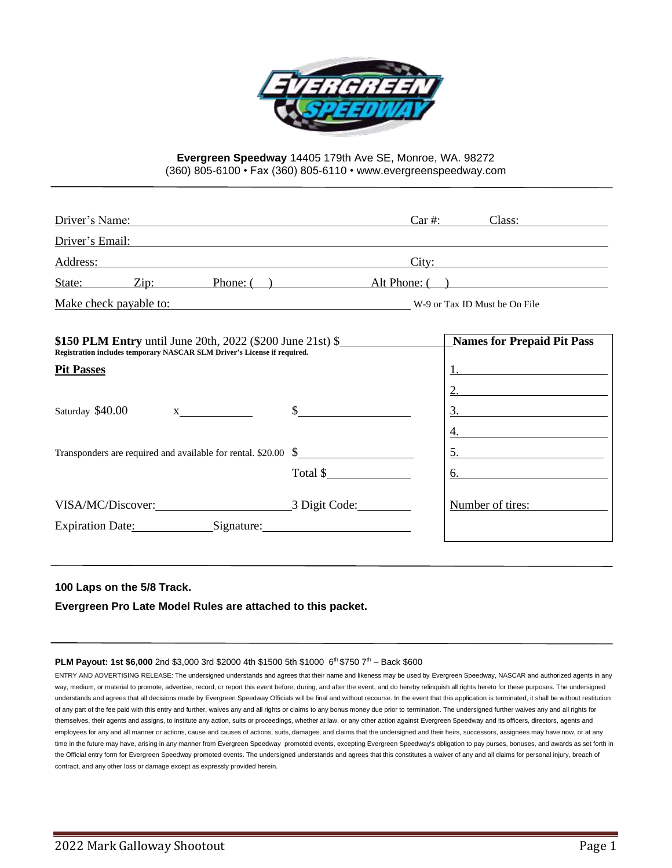

## **Evergreen Speedway** 14405 179th Ave SE, Monroe, WA. 98272 (360) 805-6100 • Fax (360) 805-6110 • www.evergreenspeedway.com

| Driver's Name:                                                                                                                                                                                                                                                      |                                         | Class:<br>$Car \#:$                                                                              |
|---------------------------------------------------------------------------------------------------------------------------------------------------------------------------------------------------------------------------------------------------------------------|-----------------------------------------|--------------------------------------------------------------------------------------------------|
| Driver's Email:<br><u> 1989 - Johann Stein, Amerikaansk politiker († 1989)</u>                                                                                                                                                                                      |                                         |                                                                                                  |
| Address: Andreas Address: Address: Address: Address: Address: Address: Address: Address: Address: Address: Address: Address: Address: Address: Address: Address: Address: Address: Address: Address: Address: Address: Address                                      |                                         | City:                                                                                            |
| State: Zip:<br>Phone: $($ )                                                                                                                                                                                                                                         |                                         | Alt Phone: ()                                                                                    |
| Make check payable to: W-9 or Tax ID Must be On File                                                                                                                                                                                                                |                                         |                                                                                                  |
| \$150 PLM Entry until June 20th, 2022 (\$200 June 21st) \$<br>Registration includes temporary NASCAR SLM Driver's License if required.<br><b>Pit Passes</b><br>Saturday \$40.00<br>$X \sim$<br>Transponders are required and available for rental. $$20.00\quad$ \$ | $\frac{\text{S}}{\text{S}}$<br>Total \$ | <b>Names for Prepaid Pit Pass</b><br>2.<br>$\frac{3.}{2}$<br>4.<br>$5. \underline{\hspace{2cm}}$ |
|                                                                                                                                                                                                                                                                     |                                         | Number of tires:                                                                                 |
| Expiration Date: Signature: Signature:                                                                                                                                                                                                                              |                                         |                                                                                                  |

## **100 Laps on the 5/8 Track.**

**Evergreen Pro Late Model Rules are attached to this packet.**

#### **PLM Payout: 1st \$6,000** 2nd \$3,000 3rd \$2000 4th \$1500 5th \$1000 6<sup>th</sup> \$750 7<sup>th</sup> - Back \$600

ENTRY AND ADVERTISING RELEASE: The undersigned understands and agrees that their name and likeness may be used by Evergreen Speedway, NASCAR and authorized agents in any way, medium, or material to promote, advertise, record, or report this event before, during, and after the event, and do hereby relinquish all rights hereto for these purposes. The undersigned understands and agrees that all decisions made by Evergreen Speedway Officials will be final and without recourse. In the event that this application is terminated, it shall be without restitution of any part of the fee paid with this entry and further, waives any and all rights or claims to any bonus money due prior to termination. The undersigned further waives any and all rights for themselves, their agents and assigns, to institute any action, suits or proceedings, whether at law, or any other action against Evergreen Speedway and its officers, directors, agents and employees for any and all manner or actions, cause and causes of actions, suits, damages, and claims that the undersigned and their heirs, successors, assignees may have now, or at any time in the future may have, arising in any manner from Evergreen Speedway promoted events, excepting Evergreen Speedway's obligation to pay purses, bonuses, and awards as set forth in the Official entry form for Evergreen Speedway promoted events. The undersigned understands and agrees that this constitutes a waiver of any and all claims for personal injury, breach of contract, and any other loss or damage except as expressly provided herein.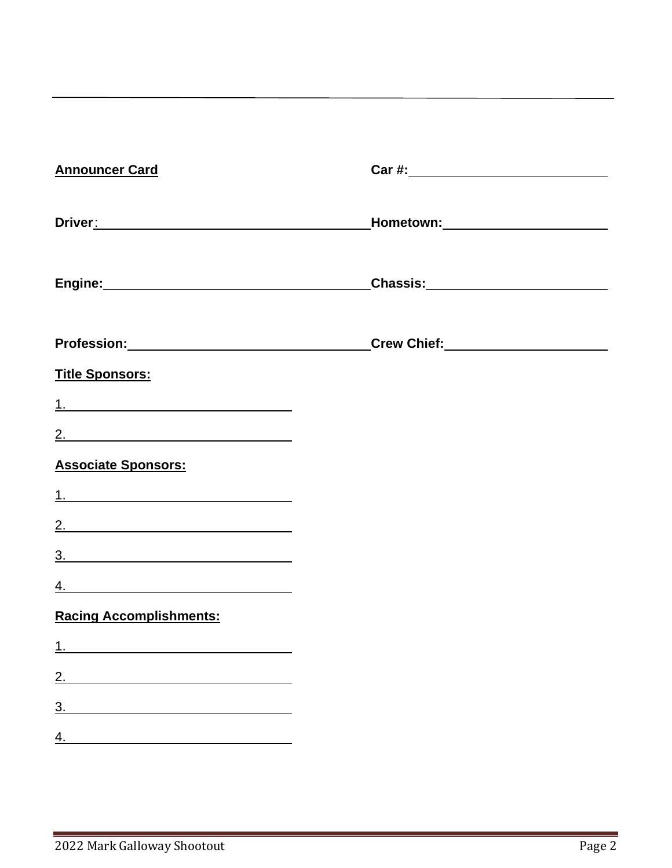| <b>Announcer Card</b>                                                                                                                                                                                                          |                                                                                  |
|--------------------------------------------------------------------------------------------------------------------------------------------------------------------------------------------------------------------------------|----------------------------------------------------------------------------------|
| Driver: Note that the contract of the contract of the contract of the contract of the contract of the contract of the contract of the contract of the contract of the contract of the contract of the contract of the contract | _Hometown:__________________________                                             |
|                                                                                                                                                                                                                                | <u>Chassis: __________________________</u>                                       |
|                                                                                                                                                                                                                                | Profession:_________________________________Crew Chief:_________________________ |
| <b>Title Sponsors:</b>                                                                                                                                                                                                         |                                                                                  |
|                                                                                                                                                                                                                                |                                                                                  |
| 2.                                                                                                                                                                                                                             |                                                                                  |
| <b>Associate Sponsors:</b>                                                                                                                                                                                                     |                                                                                  |
|                                                                                                                                                                                                                                |                                                                                  |
| 2.                                                                                                                                                                                                                             |                                                                                  |
| 3.                                                                                                                                                                                                                             |                                                                                  |
| <u>4. _______________________________</u>                                                                                                                                                                                      |                                                                                  |
| <b>Racing Accomplishments:</b>                                                                                                                                                                                                 |                                                                                  |
|                                                                                                                                                                                                                                |                                                                                  |
| 2.                                                                                                                                                                                                                             |                                                                                  |
| 3.                                                                                                                                                                                                                             |                                                                                  |
| 4.                                                                                                                                                                                                                             |                                                                                  |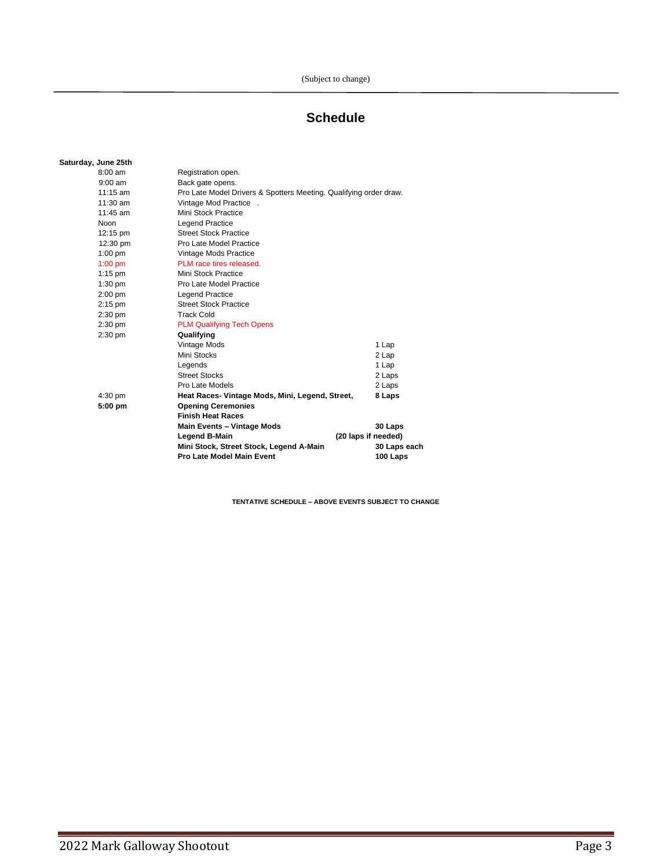# **Schedule**

## **Saturday, June 25th**

|               |                   | Mini Stock, Street Stock, Legend A-Main<br>Pro Late Model Main Event | 30 Laps each<br>100 Laps |  |
|---------------|-------------------|----------------------------------------------------------------------|--------------------------|--|
| Legend B-Main |                   |                                                                      | (20 laps if needed)      |  |
|               |                   | Main Events - Vintage Mods                                           | 30 Laps                  |  |
|               |                   | <b>Finish Heat Races</b>                                             |                          |  |
|               | $5:00$ pm         | <b>Opening Ceremonies</b>                                            |                          |  |
|               | $4:30$ pm         | Heat Races- Vintage Mods, Mini, Legend, Street,                      | 8 Laps                   |  |
|               |                   | Pro Late Models                                                      | 2 Laps                   |  |
|               |                   | <b>Street Stocks</b>                                                 | 2 Laps                   |  |
|               |                   | Legends                                                              | 1 Lap                    |  |
|               |                   | Mini Stocks                                                          | 2 Lap                    |  |
|               |                   | Vintage Mods                                                         | 1 Lap                    |  |
|               | $2:30$ pm         | Qualifying                                                           |                          |  |
|               | $2:30$ pm         | <b>PLM Qualifying Tech Opens</b>                                     |                          |  |
|               | $2:30$ pm         | <b>Track Cold</b>                                                    |                          |  |
|               | $2:15$ pm         | <b>Street Stock Practice</b>                                         |                          |  |
|               | $2:00$ pm         | <b>Legend Practice</b>                                               |                          |  |
|               | $1:30$ pm         | Pro Late Model Practice                                              |                          |  |
|               | $1:15$ pm         | Mini Stock Practice                                                  |                          |  |
|               | $1:00$ pm         | PLM race tires released.                                             |                          |  |
|               | $1:00$ pm         | Vintage Mods Practice                                                |                          |  |
|               | 12:30 pm          | Pro Late Model Practice                                              |                          |  |
|               | 12:15 pm          | <b>Street Stock Practice</b>                                         |                          |  |
|               | <b>Noon</b>       | <b>Legend Practice</b>                                               |                          |  |
|               | $11:45$ am        | Mini Stock Practice                                                  |                          |  |
|               | 11:30 am          | Vintage Mod Practice.                                                |                          |  |
|               | $11:15$ am        | Pro Late Model Drivers & Spotters Meeting. Qualifying order draw.    |                          |  |
|               | $9:00$ am         | Back gate opens.                                                     |                          |  |
|               | $8:00 \text{ am}$ | Registration open.                                                   |                          |  |

**TENTATIVE SCHEDULE – ABOVE EVENTS SUBJECT TO CHANGE**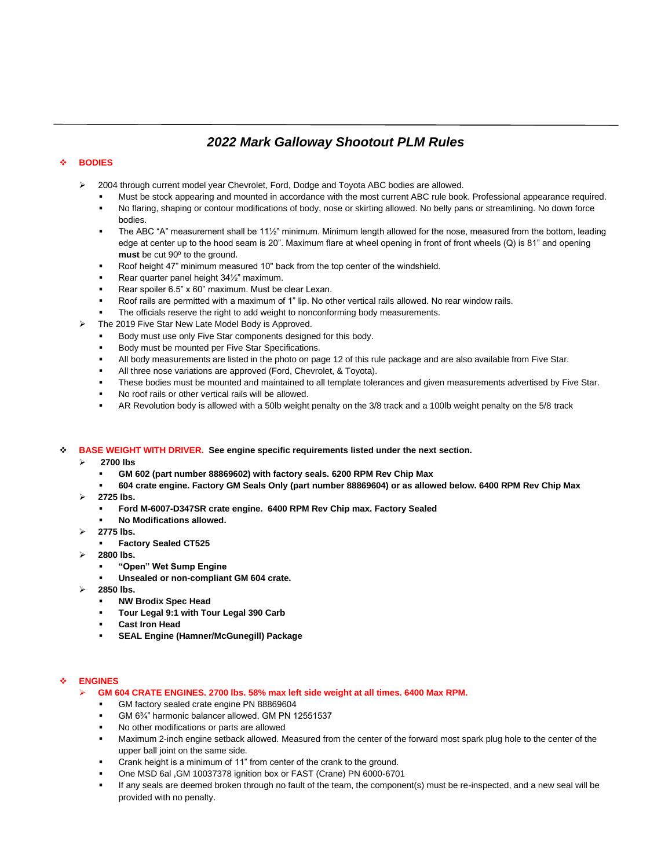# *2022 Mark Galloway Shootout PLM Rules*

## ❖ **BODIES**

- ➢ 2004 through current model year Chevrolet, Ford, Dodge and Toyota ABC bodies are allowed.
	- Must be stock appearing and mounted in accordance with the most current ABC rule book. Professional appearance required. No flaring, shaping or contour modifications of body, nose or skirting allowed. No belly pans or streamlining. No down force bodies.
	- The ABC "A" measurement shall be 11<sup>1/2</sup>" minimum. Minimum length allowed for the nose, measured from the bottom, leading edge at center up to the hood seam is 20". Maximum flare at wheel opening in front of front wheels (Q) is 81" and opening **must** be cut 90º to the ground.
	- Roof height 47" minimum measured 10" back from the top center of the windshield.
	- Rear quarter panel height 34½" maximum.
	- Rear spoiler 6.5" x 60" maximum. Must be clear Lexan.
	- Roof rails are permitted with a maximum of 1" lip. No other vertical rails allowed. No rear window rails.
	- The officials reserve the right to add weight to nonconforming body measurements.
- ➢ The 2019 Five Star New Late Model Body is Approved.
	- Body must use only Five Star components designed for this body.
	- Body must be mounted per Five Star Specifications.
	- All body measurements are listed in the photo on page 12 of this rule package and are also available from Five Star.
	- All three nose variations are approved (Ford, Chevrolet, & Toyota).
	- These bodies must be mounted and maintained to all template tolerances and given measurements advertised by Five Star.
	- No roof rails or other vertical rails will be allowed.
	- AR Revolution body is allowed with a 50lb weight penalty on the 3/8 track and a 100lb weight penalty on the 5/8 track

## ❖ **BASE WEIGHT WITH DRIVER. See engine specific requirements listed under the next section.**

- ➢ **2700 lbs** 
	- **GM 602 (part number 88869602) with factory seals. 6200 RPM Rev Chip Max**
	- **604 crate engine. Factory GM Seals Only (part number 88869604) or as allowed below. 6400 RPM Rev Chip Max**
- ➢ **2725 lbs.** 
	- **Ford M-6007-D347SR crate engine. 6400 RPM Rev Chip max. Factory Sealed**
	- **No Modifications allowed.**
- ➢ **2775 lbs.**
	- **Factory Sealed CT525**
- ➢ **2800 lbs.** 
	- **"Open" Wet Sump Engine**
	- Unsealed or non-compliant GM 604 crate.
- ➢ **2850 lbs.**
	- **NW Brodix Spec Head**
	- Tour Legal 9:1 with Tour Legal 390 Carb
	- **Cast Iron Head**
	- **SEAL Engine (Hamner/McGunegill) Package**

## ❖ **ENGINES**

- ➢ **GM 604 CRATE ENGINES. 2700 lbs. 58% max left side weight at all times. 6400 Max RPM.**
	- GM factory sealed crate engine PN 88869604
	- GM 6<sup>3</sup>/4" harmonic balancer allowed. GM PN 12551537
	- No other modifications or parts are allowed
	- Maximum 2-inch engine setback allowed. Measured from the center of the forward most spark plug hole to the center of the upper ball joint on the same side.
	- Crank height is a minimum of 11" from center of the crank to the ground.
	- One MSD 6al ,GM 10037378 ignition box or FAST (Crane) PN 6000-6701
	- If any seals are deemed broken through no fault of the team, the component(s) must be re-inspected, and a new seal will be provided with no penalty.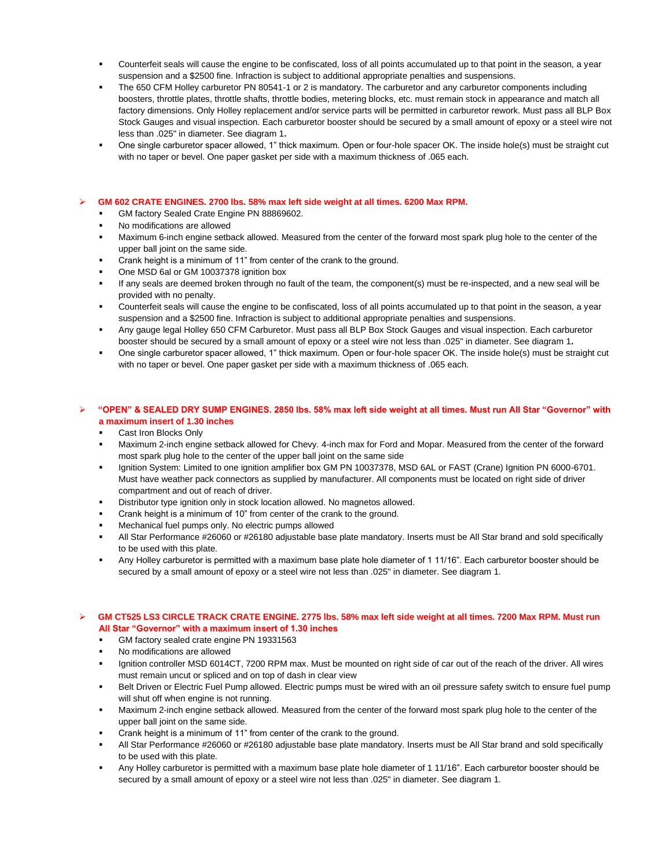- Counterfeit seals will cause the engine to be confiscated, loss of all points accumulated up to that point in the season, a vear suspension and a \$2500 fine. Infraction is subject to additional appropriate penalties and suspensions.
- The 650 CFM Holley carburetor PN 80541-1 or 2 is mandatory. The carburetor and any carburetor components including boosters, throttle plates, throttle shafts, throttle bodies, metering blocks, etc. must remain stock in appearance and match all factory dimensions. Only Holley replacement and/or service parts will be permitted in carburetor rework. Must pass all BLP Box Stock Gauges and visual inspection. Each carburetor booster should be secured by a small amount of epoxy or a steel wire not less than .025" in diameter. See diagram 1**.**
- One single carburetor spacer allowed, 1" thick maximum. Open or four-hole spacer OK. The inside hole(s) must be straight cut with no taper or bevel. One paper gasket per side with a maximum thickness of .065 each.

#### ➢ **GM 602 CRATE ENGINES. 2700 lbs. 58% max left side weight at all times. 6200 Max RPM.**

- GM factory Sealed Crate Engine PN 88869602.
- No modifications are allowed
- Maximum 6-inch engine setback allowed. Measured from the center of the forward most spark plug hole to the center of the upper ball joint on the same side.
- Crank height is a minimum of 11" from center of the crank to the ground.
- One MSD 6al or GM 10037378 ignition box
- If any seals are deemed broken through no fault of the team, the component(s) must be re-inspected, and a new seal will be provided with no penalty.
- Counterfeit seals will cause the engine to be confiscated, loss of all points accumulated up to that point in the season, a year suspension and a \$2500 fine. Infraction is subject to additional appropriate penalties and suspensions.
- Any gauge legal Holley 650 CFM Carburetor. Must pass all BLP Box Stock Gauges and visual inspection. Each carburetor booster should be secured by a small amount of epoxy or a steel wire not less than .025" in diameter. See diagram 1**.**
- One single carburetor spacer allowed, 1" thick maximum. Open or four-hole spacer OK. The inside hole(s) must be straight cut with no taper or bevel. One paper gasket per side with a maximum thickness of .065 each.

#### ➢ **"OPEN" & SEALED DRY SUMP ENGINES. 2850 lbs. 58% max left side weight at all times. Must run All Star "Governor" with a maximum insert of 1.30 inches**

- Cast Iron Blocks Only
- **■** Maximum 2-inch engine setback allowed for Chevy. 4-inch max for Ford and Mopar. Measured from the center of the forward most spark plug hole to the center of the upper ball joint on the same side
- Ignition System: Limited to one ignition amplifier box GM PN 10037378, MSD 6AL or FAST (Crane) Ignition PN 6000-6701. Must have weather pack connectors as supplied by manufacturer. All components must be located on right side of driver compartment and out of reach of driver.
- Distributor type ignition only in stock location allowed. No magnetos allowed.
- Crank height is a minimum of 10" from center of the crank to the ground.
- Mechanical fuel pumps only. No electric pumps allowed
- All Star Performance #26060 or #26180 adjustable base plate mandatory. Inserts must be All Star brand and sold specifically to be used with this plate.
- Any Holley carburetor is permitted with a maximum base plate hole diameter of 1 11/16". Each carburetor booster should be secured by a small amount of epoxy or a steel wire not less than .025" in diameter. See diagram 1.

#### ➢ **GM CT525 LS3 CIRCLE TRACK CRATE ENGINE. 2775 lbs. 58% max left side weight at all times. 7200 Max RPM. Must run All Star "Governor" with a maximum insert of 1.30 inches**

- GM factory sealed crate engine PN 19331563
- No modifications are allowed
- Ignition controller MSD 6014CT, 7200 RPM max. Must be mounted on right side of car out of the reach of the driver. All wires must remain uncut or spliced and on top of dash in clear view
- Belt Driven or Electric Fuel Pump allowed. Electric pumps must be wired with an oil pressure safety switch to ensure fuel pump will shut off when engine is not running.
- Maximum 2-inch engine setback allowed. Measured from the center of the forward most spark plug hole to the center of the upper ball joint on the same side.
- Crank height is a minimum of 11" from center of the crank to the ground.
- All Star Performance #26060 or #26180 adjustable base plate mandatory. Inserts must be All Star brand and sold specifically to be used with this plate.
- Any Holley carburetor is permitted with a maximum base plate hole diameter of 1 11/16". Each carburetor booster should be secured by a small amount of epoxy or a steel wire not less than .025" in diameter. See diagram 1.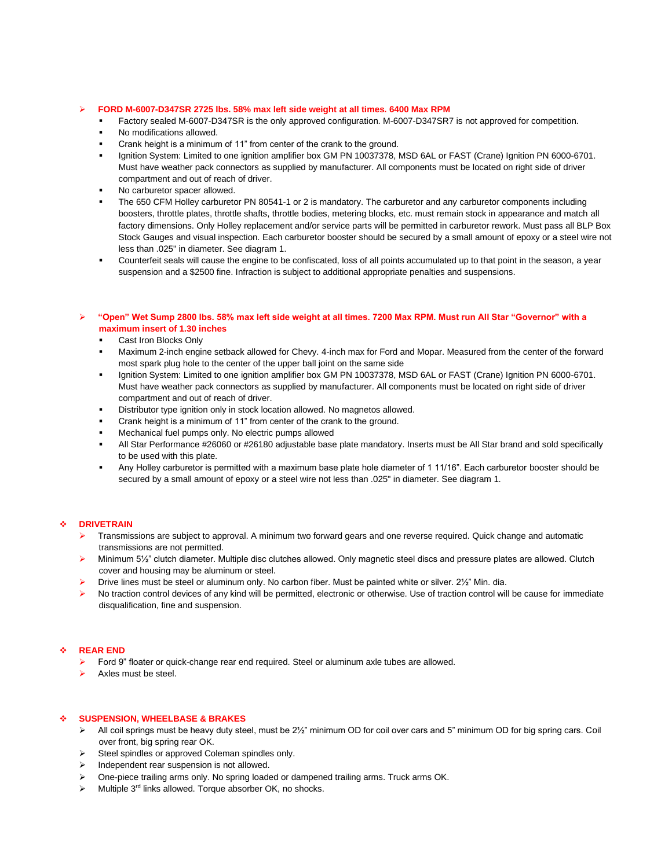#### ➢ **FORD M-6007-D347SR 2725 lbs. 58% max left side weight at all times. 6400 Max RPM**

- Factory sealed M-6007-D347SR is the only approved configuration. M-6007-D347SR7 is not approved for competition.
- No modifications allowed.
- Crank height is a minimum of 11" from center of the crank to the ground.
- Ignition System: Limited to one ignition amplifier box GM PN 10037378, MSD 6AL or FAST (Crane) Ignition PN 6000-6701. Must have weather pack connectors as supplied by manufacturer. All components must be located on right side of driver compartment and out of reach of driver.
- No carburetor spacer allowed.
- The 650 CFM Holley carburetor PN 80541-1 or 2 is mandatory. The carburetor and any carburetor components including boosters, throttle plates, throttle shafts, throttle bodies, metering blocks, etc. must remain stock in appearance and match all factory dimensions. Only Holley replacement and/or service parts will be permitted in carburetor rework. Must pass all BLP Box Stock Gauges and visual inspection. Each carburetor booster should be secured by a small amount of epoxy or a steel wire not less than .025" in diameter. See diagram 1.
- Counterfeit seals will cause the engine to be confiscated, loss of all points accumulated up to that point in the season, a year suspension and a \$2500 fine. Infraction is subject to additional appropriate penalties and suspensions.

#### ➢ **"Open" Wet Sump 2800 lbs. 58% max left side weight at all times. 7200 Max RPM. Must run All Star "Governor" with a maximum insert of 1.30 inches**

- Cast Iron Blocks Only
- Maximum 2-inch engine setback allowed for Chevy. 4-inch max for Ford and Mopar. Measured from the center of the forward most spark plug hole to the center of the upper ball joint on the same side
- Ignition System: Limited to one ignition amplifier box GM PN 10037378, MSD 6AL or FAST (Crane) Ignition PN 6000-6701. Must have weather pack connectors as supplied by manufacturer. All components must be located on right side of driver compartment and out of reach of driver.
- Distributor type ignition only in stock location allowed. No magnetos allowed.
- Crank height is a minimum of 11" from center of the crank to the ground.
- Mechanical fuel pumps only. No electric pumps allowed
- All Star Performance #26060 or #26180 adjustable base plate mandatory. Inserts must be All Star brand and sold specifically to be used with this plate.
- Any Holley carburetor is permitted with a maximum base plate hole diameter of 1 11/16". Each carburetor booster should be secured by a small amount of epoxy or a steel wire not less than .025" in diameter. See diagram 1.

#### ❖ **DRIVETRAIN**

- ➢ Transmissions are subject to approval. A minimum two forward gears and one reverse required. Quick change and automatic transmissions are not permitted.
- ➢ Minimum 5½" clutch diameter. Multiple disc clutches allowed. Only magnetic steel discs and pressure plates are allowed. Clutch cover and housing may be aluminum or steel.
- $\triangleright$  Drive lines must be steel or aluminum only. No carbon fiber. Must be painted white or silver. 2½" Min. dia.
- ➢ No traction control devices of any kind will be permitted, electronic or otherwise. Use of traction control will be cause for immediate disqualification, fine and suspension.

#### ❖ **REAR END**

- ➢ Ford 9" floater or quick-change rear end required. Steel or aluminum axle tubes are allowed.
- ➢ Axles must be steel.

#### ❖ **SUSPENSION, WHEELBASE & BRAKES**

- ➢ All coil springs must be heavy duty steel, must be 2½" minimum OD for coil over cars and 5" minimum OD for big spring cars. Coil over front, big spring rear OK.
- ➢ Steel spindles or approved Coleman spindles only.
- ➢ Independent rear suspension is not allowed.
- ➢ One-piece trailing arms only. No spring loaded or dampened trailing arms. Truck arms OK.
- $\triangleright$  Multiple 3<sup>rd</sup> links allowed. Torque absorber OK, no shocks.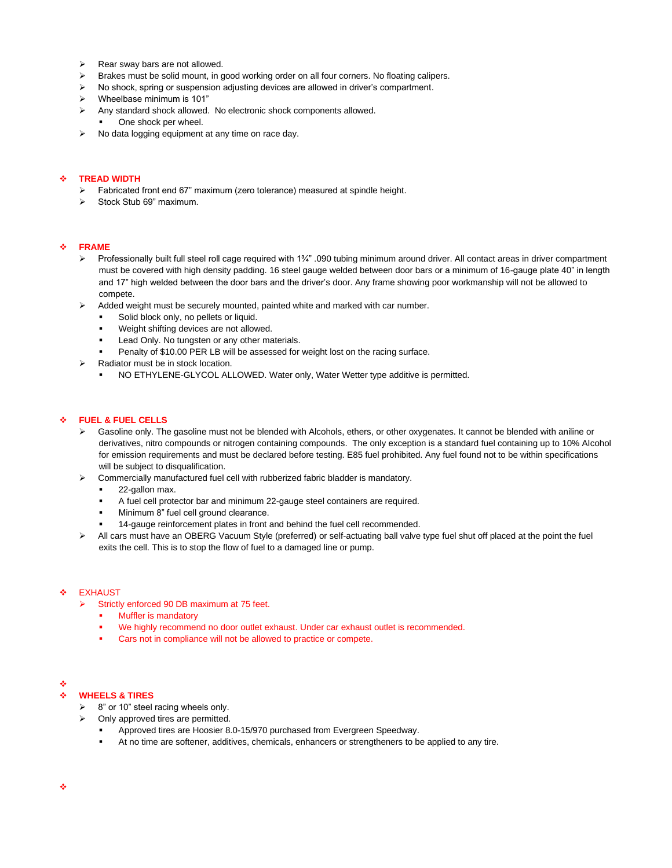- $\triangleright$  Rear sway bars are not allowed.
- $\triangleright$  Brakes must be solid mount, in good working order on all four corners. No floating calipers.
- $\triangleright$  No shock, spring or suspension adjusting devices are allowed in driver's compartment.
- $\triangleright$  Wheelbase minimum is 101"
- ➢ Any standard shock allowed. No electronic shock components allowed.
	- One shock per wheel.
- ➢ No data logging equipment at any time on race day.

#### ❖ **TREAD WIDTH**

- ➢ Fabricated front end 67" maximum (zero tolerance) measured at spindle height.
- ➢ Stock Stub 69" maximum.

#### ❖ **FRAME**

- ➢ Professionally built full steel roll cage required with 1¾" .090 tubing minimum around driver. All contact areas in driver compartment must be covered with high density padding. 16 steel gauge welded between door bars or a minimum of 16-gauge plate 40" in length and 17" high welded between the door bars and the driver's door. Any frame showing poor workmanship will not be allowed to compete.
- Added weight must be securely mounted, painted white and marked with car number.
	- Solid block only, no pellets or liquid.
	- Weight shifting devices are not allowed.
	- Lead Only. No tungsten or any other materials.
	- Penalty of \$10.00 PER LB will be assessed for weight lost on the racing surface.
- Radiator must be in stock location.
	- NO ETHYLENE-GLYCOL ALLOWED. Water only, Water Wetter type additive is permitted.

#### ❖ **FUEL & FUEL CELLS**

- ➢ Gasoline only. The gasoline must not be blended with Alcohols, ethers, or other oxygenates. It cannot be blended with aniline or derivatives, nitro compounds or nitrogen containing compounds. The only exception is a standard fuel containing up to 10% Alcohol for emission requirements and must be declared before testing. E85 fuel prohibited. Any fuel found not to be within specifications will be subject to disqualification.
- ➢ Commercially manufactured fuel cell with rubberized fabric bladder is mandatory.
	- 22-gallon max.
	- A fuel cell protector bar and minimum 22-gauge steel containers are required.
	- Minimum 8" fuel cell ground clearance.
	- 14-gauge reinforcement plates in front and behind the fuel cell recommended.
- ➢ All cars must have an OBERG Vacuum Style (preferred) or self-actuating ball valve type fuel shut off placed at the point the fuel exits the cell. This is to stop the flow of fuel to a damaged line or pump.

#### **EXHAUST**

- ➢ Strictly enforced 90 DB maximum at 75 feet.
	- **Muffler is mandatory**
	- We highly recommend no door outlet exhaust. Under car exhaust outlet is recommended.
	- **•** Cars not in compliance will not be allowed to practice or compete.

#### ❖

#### ❖ **WHEELS & TIRES**

- $\geq$  8" or 10" steel racing wheels only.
- $\triangleright$  Only approved tires are permitted.
	- Approved tires are Hoosier 8.0-15/970 purchased from Evergreen Speedway.
	- At no time are softener, additives, chemicals, enhancers or strengtheners to be applied to any tire.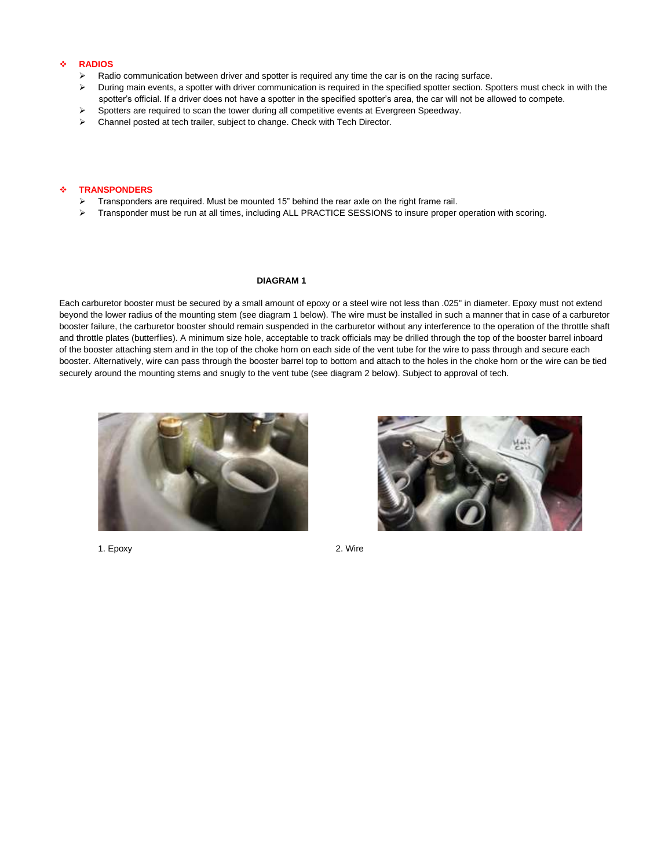#### ❖ **RADIOS**

- Radio communication between driver and spotter is required any time the car is on the racing surface.
- ➢ During main events, a spotter with driver communication is required in the specified spotter section. Spotters must check in with the spotter's official. If a driver does not have a spotter in the specified spotter's area, the car will not be allowed to compete.
- Spotters are required to scan the tower during all competitive events at Evergreen Speedway.
- ➢ Channel posted at tech trailer, subject to change. Check with Tech Director.

#### ❖ **TRANSPONDERS**

- ➢ Transponders are required. Must be mounted 15" behind the rear axle on the right frame rail.
- ➢ Transponder must be run at all times, including ALL PRACTICE SESSIONS to insure proper operation with scoring.

#### **DIAGRAM 1**

Each carburetor booster must be secured by a small amount of epoxy or a steel wire not less than .025" in diameter. Epoxy must not extend beyond the lower radius of the mounting stem (see diagram 1 below). The wire must be installed in such a manner that in case of a carburetor booster failure, the carburetor booster should remain suspended in the carburetor without any interference to the operation of the throttle shaft and throttle plates (butterflies). A minimum size hole, acceptable to track officials may be drilled through the top of the booster barrel inboard of the booster attaching stem and in the top of the choke horn on each side of the vent tube for the wire to pass through and secure each booster. Alternatively, wire can pass through the booster barrel top to bottom and attach to the holes in the choke horn or the wire can be tied securely around the mounting stems and snugly to the vent tube (see diagram 2 below). Subject to approval of tech.





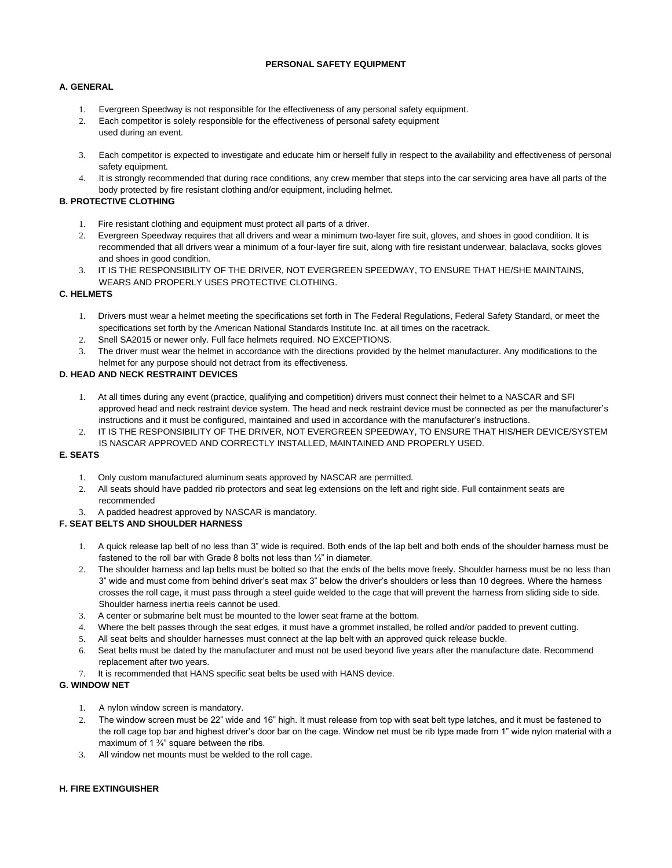## **PERSONAL SAFETY EQUIPMENT**

## **A. GENERAL**

- 1. Evergreen Speedway is not responsible for the effectiveness of any personal safety equipment.
- 2. Each competitor is solely responsible for the effectiveness of personal safety equipment
- used during an event.
- 3. Each competitor is expected to investigate and educate him or herself fully in respect to the availability and effectiveness of personal safety equipment.
- 4. It is strongly recommended that during race conditions, any crew member that steps into the car servicing area have all parts of the body protected by fire resistant clothing and/or equipment, including helmet.

## **B. PROTECTIVE CLOTHING**

- 1. Fire resistant clothing and equipment must protect all parts of a driver.
- 2. Evergreen Speedway requires that all drivers and wear a minimum two-layer fire suit, gloves, and shoes in good condition. It is recommended that all drivers wear a minimum of a four-layer fire suit, along with fire resistant underwear, balaclava, socks gloves and shoes in good condition.
- 3. IT IS THE RESPONSIBILITY OF THE DRIVER, NOT EVERGREEN SPEEDWAY, TO ENSURE THAT HE/SHE MAINTAINS, WEARS AND PROPERLY USES PROTECTIVE CLOTHING.

## **C. HELMETS**

- 1. Drivers must wear a helmet meeting the specifications set forth in The Federal Regulations, Federal Safety Standard, or meet the specifications set forth by the American National Standards Institute Inc. at all times on the racetrack.
- 2. Snell SA2015 or newer only. Full face helmets required. NO EXCEPTIONS.
- 3. The driver must wear the helmet in accordance with the directions provided by the helmet manufacturer. Any modifications to the helmet for any purpose should not detract from its effectiveness.
- 

## **D. HEAD AND NECK RESTRAINT DEVICES**

- 1. At all times during any event (practice, qualifying and competition) drivers must connect their helmet to a NASCAR and SFI approved head and neck restraint device system. The head and neck restraint device must be connected as per the manufacturer's instructions and it must be configured, maintained and used in accordance with the manufacturer's instructions.
- 2. IT IS THE RESPONSIBILITY OF THE DRIVER, NOT EVERGREEN SPEEDWAY, TO ENSURE THAT HIS/HER DEVICE/SYSTEM IS NASCAR APPROVED AND CORRECTLY INSTALLED, MAINTAINED AND PROPERLY USED.

## **E. SEATS**

- 1. Only custom manufactured aluminum seats approved by NASCAR are permitted.
- 2. All seats should have padded rib protectors and seat leg extensions on the left and right side. Full containment seats are recommended
- 3. A padded headrest approved by NASCAR is mandatory.

## **F. SEAT BELTS AND SHOULDER HARNESS**

- 1. A quick release lap belt of no less than 3" wide is required. Both ends of the lap belt and both ends of the shoulder harness must be fastened to the roll bar with Grade 8 bolts not less than 1/<sub>2</sub>" in diameter.
- 2. The shoulder harness and lap belts must be bolted so that the ends of the belts move freely. Shoulder harness must be no less than 3" wide and must come from behind driver's seat max 3" below the driver's shoulders or less than 10 degrees. Where the harness crosses the roll cage, it must pass through a steel guide welded to the cage that will prevent the harness from sliding side to side. Shoulder harness inertia reels cannot be used.
- 3. A center or submarine belt must be mounted to the lower seat frame at the bottom.
- 4. Where the belt passes through the seat edges, it must have a grommet installed, be rolled and/or padded to prevent cutting.
- 5. All seat belts and shoulder harnesses must connect at the lap belt with an approved quick release buckle.
- 6. Seat belts must be dated by the manufacturer and must not be used beyond five years after the manufacture date. Recommend replacement after two years.
- 7. It is recommended that HANS specific seat belts be used with HANS device.

## **G. WINDOW NET**

- 1. A nylon window screen is mandatory.
- 2. The window screen must be 22" wide and 16" high. It must release from top with seat belt type latches, and it must be fastened to the roll cage top bar and highest driver's door bar on the cage. Window net must be rib type made from 1" wide nylon material with a maximum of 1 <sup>3</sup>/<sub>4</sub>" square between the ribs.
- 3. All window net mounts must be welded to the roll cage.

## **H. FIRE EXTINGUISHER**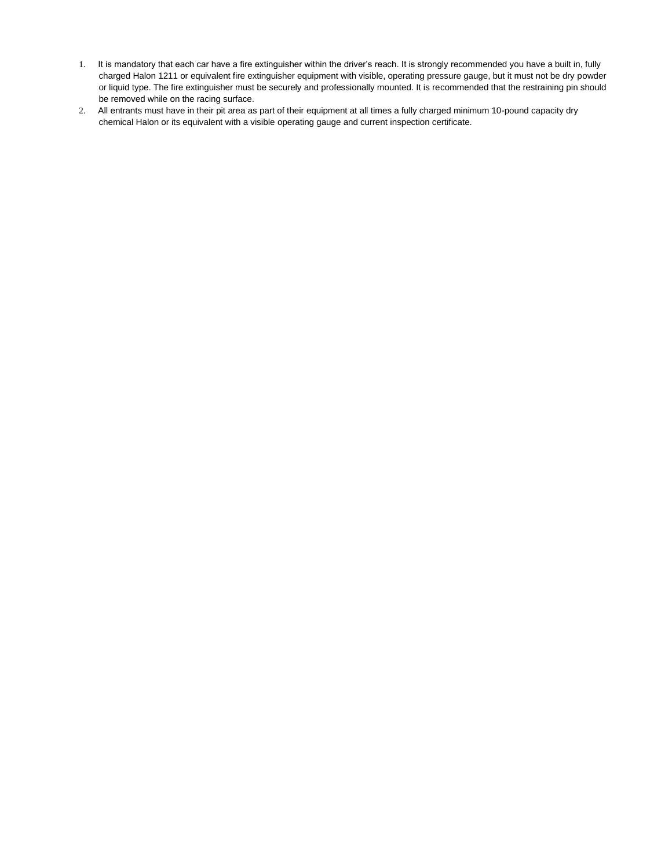- 1. It is mandatory that each car have a fire extinguisher within the driver's reach. It is strongly recommended you have a built in, fully charged Halon 1211 or equivalent fire extinguisher equipment with visible, operating pressure gauge, but it must not be dry powder or liquid type. The fire extinguisher must be securely and professionally mounted. It is recommended that the restraining pin should be removed while on the racing surface.
- 2. All entrants must have in their pit area as part of their equipment at all times a fully charged minimum 10-pound capacity dry chemical Halon or its equivalent with a visible operating gauge and current inspection certificate.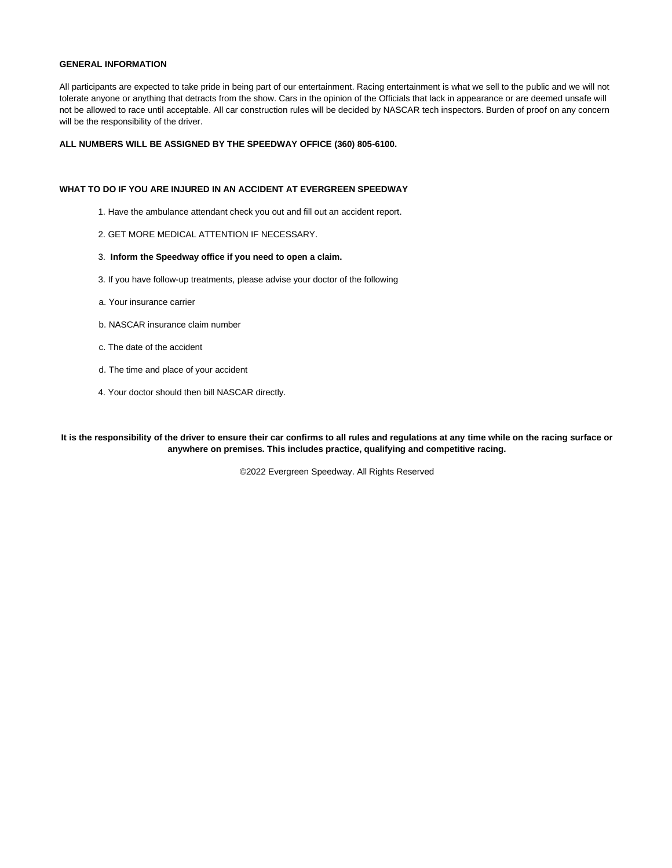#### **GENERAL INFORMATION**

All participants are expected to take pride in being part of our entertainment. Racing entertainment is what we sell to the public and we will not tolerate anyone or anything that detracts from the show. Cars in the opinion of the Officials that lack in appearance or are deemed unsafe will not be allowed to race until acceptable. All car construction rules will be decided by NASCAR tech inspectors. Burden of proof on any concern will be the responsibility of the driver.

### **ALL NUMBERS WILL BE ASSIGNED BY THE SPEEDWAY OFFICE (360) 805-6100.**

#### **WHAT TO DO IF YOU ARE INJURED IN AN ACCIDENT AT EVERGREEN SPEEDWAY**

- 1. Have the ambulance attendant check you out and fill out an accident report.
- 2. GET MORE MEDICAL ATTENTION IF NECESSARY.

#### 3. **Inform the Speedway office if you need to open a claim.**

- 3. If you have follow-up treatments, please advise your doctor of the following
- a. Your insurance carrier
- b. NASCAR insurance claim number
- c. The date of the accident
- d. The time and place of your accident
- 4. Your doctor should then bill NASCAR directly.

**It is the responsibility of the driver to ensure their car confirms to all rules and regulations at any time while on the racing surface or anywhere on premises. This includes practice, qualifying and competitive racing.**

©2022 Evergreen Speedway. All Rights Reserved